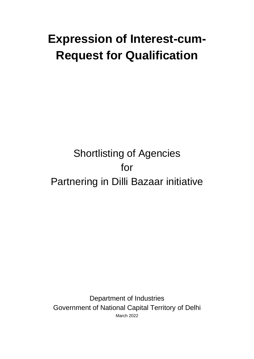# **Expression of Interest-cum-Request for Qualification**

## Shortlisting of Agencies for Partnering in Dilli Bazaar initiative

Department of Industries Government of National Capital Territory of Delhi March 2022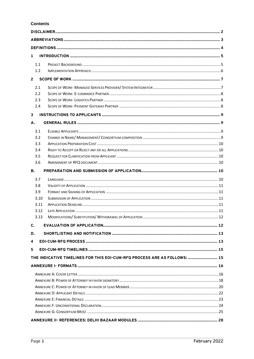## **Contents**

| $\mathbf{1}$ |              |                                                                           |  |  |  |
|--------------|--------------|---------------------------------------------------------------------------|--|--|--|
|              | 1.1          |                                                                           |  |  |  |
|              | 1.2          |                                                                           |  |  |  |
| $2^{\circ}$  |              |                                                                           |  |  |  |
|              | 2.1          |                                                                           |  |  |  |
|              | 2.2          |                                                                           |  |  |  |
|              | 2.3          |                                                                           |  |  |  |
|              | 2.4          |                                                                           |  |  |  |
| 3            |              |                                                                           |  |  |  |
| A.           |              |                                                                           |  |  |  |
|              | 3.1          |                                                                           |  |  |  |
|              | 3.2          |                                                                           |  |  |  |
|              | 3.3          |                                                                           |  |  |  |
|              | 3.4          |                                                                           |  |  |  |
|              | 3.5          |                                                                           |  |  |  |
|              | 3.6          |                                                                           |  |  |  |
| <b>B.</b>    |              |                                                                           |  |  |  |
|              |              |                                                                           |  |  |  |
|              | 3.7          |                                                                           |  |  |  |
|              | 3.8          |                                                                           |  |  |  |
|              | 3.9          |                                                                           |  |  |  |
|              | 3.10<br>3.11 |                                                                           |  |  |  |
|              | 3.12         |                                                                           |  |  |  |
|              | 3.13         |                                                                           |  |  |  |
| C.           |              |                                                                           |  |  |  |
|              |              |                                                                           |  |  |  |
| D.           |              |                                                                           |  |  |  |
| 4            |              |                                                                           |  |  |  |
| 5            |              |                                                                           |  |  |  |
|              |              | THE INDICATIVE TIMELINES FOR THIS EOI-CUM-RFQ PROCESS ARE AS FOLLOWS:  15 |  |  |  |
|              |              |                                                                           |  |  |  |
|              |              |                                                                           |  |  |  |
|              |              |                                                                           |  |  |  |
|              |              |                                                                           |  |  |  |
|              |              |                                                                           |  |  |  |
|              |              |                                                                           |  |  |  |
|              |              |                                                                           |  |  |  |
|              |              |                                                                           |  |  |  |
|              |              |                                                                           |  |  |  |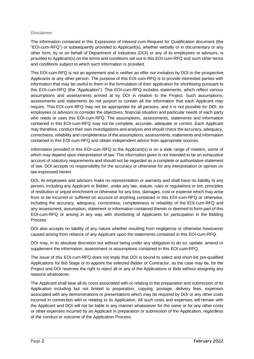#### <span id="page-2-0"></span>**Disclaimer**

The information contained in this Expression of Interest-cum-Request for Qualification document (the "EOI-cum-RFQ") or subsequently provided to Applicant(s), whether verbally or in documentary or any other form, by or on behalf of Department of Industries (DOI) or any of its employees or advisors, is provided to Applicant(s) on the terms and conditions set out in this EOI-cum-RFQ and such other terms and conditions subject to which such information is provided.

This EOI-cum-RFQ is not an agreement and is neither an offer nor invitation by DOI to the prospective Applicants or any other person. The purpose of this EOI-cum-RFQ is to provide interested parties with information that may be useful to them in the formulation of their application for shortlisting pursuant to this EOI-cum-RFQ (the "Application"). This EOI-cum-RFQ includes statements, which reflect various assumptions and assessments arrived at by DOI in relation to the Project. Such assumptions, assessments and statements do not purport to contain all the information that each Applicant may require. This EOI-cum-RFQ may not be appropriate for all persons, and it is not possible for DOI, its employees or advisors to consider the objectives, financial situation and particular needs of each party who reads or uses this EOI-cum-RFQ. The assumptions, assessments, statements and information contained in this EOI-cum-RFQ may not be complete, accurate, adequate or correct. Each Applicant may therefore, conduct their own investigations and analysis and should check the accuracy, adequacy, correctness, reliability and completeness of the assumptions, assessments, statements and information contained in this EOI-cum-RFQ and obtain independent advice from appropriate sources.

Information provided in this EOI-cum-RFQ to the Applicant(s) is on a wide range of matters, some of which may depend upon interpretation of law. The information given is not intended to be an exhaustive account of statutory requirements and should not be regarded as a complete or authoritative statement of law. DOI accepts no responsibility for the accuracy or otherwise for any interpretation or opinion on law expressed herein.

DOI, its employees and advisors make no representation or warranty and shall have no liability to any person, including any Applicant or Bidder, under any law, statute, rules or regulations or tort, principles of restitution or unjust enrichment or otherwise for any loss, damages, cost or expense which may arise from or be incurred or suffered on account of anything contained in this EOI-cum-RFQ or otherwise, including the accuracy, adequacy, correctness, completeness or reliability of the EOI-cum-RFQ and any assessment, assumption, statement or information contained therein or deemed to form part of this EOI-cum-RFQ or arising in any way with shortlisting of Applicants for participation in the Bidding Process.

DOI also accepts no liability of any nature whether resulting from negligence or otherwise howsoever caused arising from reliance of any Applicant upon the statements contained in this EOI-cum-RFQ.

DOI may, in its absolute discretion but without being under any obligation to do so, update, amend or supplement the information, assessment or assumptions contained in this EOI-cum-RFQ.

The issue of this EOI-cum-RFQ does not imply that DOI is bound to select and short-list pre-qualified Applications for Bid Stage or to appoint the selected Bidder or Contractor, as the case may be, for the Project and DOI reserves the right to reject all or any of the Applications or Bids without assigning any reasons whatsoever.

The Applicant shall bear all its costs associated with or relating to the preparation and submission of its Application including but not limited to preparation, copying, postage, delivery fees, expenses associated with any demonstrations or presentations which may be required by DOI or any other costs incurred in connection with or relating to its Application. All such costs and expenses will remain with the Applicant and DOI will not be liable in any manner whatsoever for the same or for any other costs or other expenses incurred by an Applicant in preparation or submission of the Application, regardless of the conduct or outcome of the Application Process.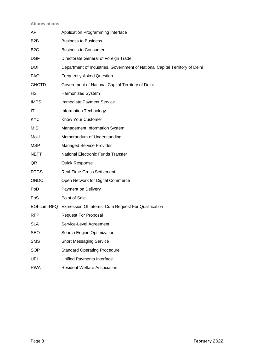## <span id="page-3-0"></span>**Abbreviations**

| API              | Application Programming Interface                                           |
|------------------|-----------------------------------------------------------------------------|
| B2B              | <b>Business to Business</b>                                                 |
| B <sub>2</sub> C | <b>Business to Consumer</b>                                                 |
| <b>DGFT</b>      | Directorate General of Foreign Trade                                        |
| DOI              | Department of Industries, Government of National Capital Territory of Delhi |
| <b>FAQ</b>       | <b>Frequently Asked Question</b>                                            |
| <b>GNCTD</b>     | Government of National Capital Territory of Delhi                           |
| HS               | Harmonized System                                                           |
| <b>IMPS</b>      | Immediate Payment Service                                                   |
| IT               | Information Technology                                                      |
| <b>KYC</b>       | Know Your Customer                                                          |
| <b>MIS</b>       | Management Information System                                               |
| MoU              | Memorandum of Understanding                                                 |
| <b>MSP</b>       | <b>Managed Service Provider</b>                                             |
| <b>NEFT</b>      | <b>National Electronic Funds Transfer</b>                                   |
| QR               | <b>Quick Response</b>                                                       |
| <b>RTGS</b>      | <b>Real-Time Gross Settlement</b>                                           |
| <b>ONDC</b>      | Open Network for Digital Commerce                                           |
| PoD              | Payment on Delivery                                                         |
| PoS              | Point of Sale                                                               |
|                  | EOI-cum-RFQ Expression Of Interest Cum Request For Qualification            |
| <b>RFP</b>       | <b>Request For Proposal</b>                                                 |
| <b>SLA</b>       | Service-Level Agreement                                                     |
| <b>SEO</b>       | Search Engine Optimization                                                  |
| <b>SMS</b>       | <b>Short Messaging Service</b>                                              |
| SOP              | <b>Standard Operating Procedure</b>                                         |
| <b>UPI</b>       | Unified Payments Interface                                                  |
| <b>RWA</b>       | <b>Resident Welfare Association</b>                                         |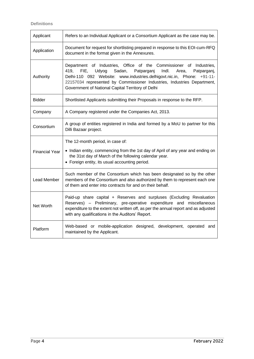<span id="page-4-0"></span>**Definitions**

| Applicant             | Refers to an Individual Applicant or a Consortium Applicant as the case may be.                                                                                                                                                                                                                                                                                 |
|-----------------------|-----------------------------------------------------------------------------------------------------------------------------------------------------------------------------------------------------------------------------------------------------------------------------------------------------------------------------------------------------------------|
| Application           | Document for request for shortlisting prepared in response to this EOI-cum-RFQ<br>document in the format given in the Annexures.                                                                                                                                                                                                                                |
| Authority             | Department of Industries, Office of the Commissioner of Industries,<br>419,<br>FIE,<br>Udyog<br>Sadan,<br>Patparganj<br>Indl.<br>Patparganj,<br>Area,<br>Delhi-110 092 Website: www.industries.delhigovt.nic.in, Phone: +91-11-<br>22157034 represented by Commissioner Industries, Industries Department,<br>Government of National Capital Territory of Delhi |
| <b>Bidder</b>         | Shortlisted Applicants submitting their Proposals in response to the RFP.                                                                                                                                                                                                                                                                                       |
| Company               | A Company registered under the Companies Act, 2013.                                                                                                                                                                                                                                                                                                             |
| Consortium            | A group of entities registered in India and formed by a MoU to partner for this<br>Dilli Bazaar project.                                                                                                                                                                                                                                                        |
| <b>Financial Year</b> | The 12-month period, in case of:<br>• Indian entity, commencing from the 1st day of April of any year and ending on<br>the 31st day of March of the following calendar year.<br>• Foreign entity, its usual accounting period.                                                                                                                                  |
| Lead Member           | Such member of the Consortium which has been designated so by the other<br>members of the Consortium and also authorized by them to represent each one<br>of them and enter into contracts for and on their behalf.                                                                                                                                             |
| Net Worth             | Paid-up share capital + Reserves and surpluses (Excluding Revaluation<br>Reserves) - Preliminary, pre-operative expenditure and miscellaneous<br>expenditure to the extent not written off, as per the annual report and as adjusted<br>with any qualifications in the Auditors' Report.                                                                        |
| Platform              | Web-based or mobile-application designed, development, operated and<br>maintained by the Applicant.                                                                                                                                                                                                                                                             |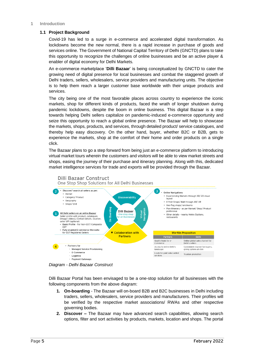#### <span id="page-5-1"></span><span id="page-5-0"></span>**1 Introduction**

## **1.1 Project Background**

Covid-19 has led to a surge in e-commerce and accelerated digital transformation. As lockdowns become the new normal, there is a rapid increase in purchase of goods and services online. The Government of National Capital Territory of Delhi (GNCTD) plans to take this opportunity to recognize the challenges of online businesses and be an active player & enabler of digital economy for Delhi Markets.

An e-commerce marketplace '**Dilli Bazaar**' is being conceptualized by GNCTD to cater the growing need of digital presence for local businesses and combat the staggered growth of Delhi traders, sellers, wholesalers, service providers and manufacturing units. The objective is to help them reach a larger customer base worldwide with their unique products and services.

The city being one of the most favorable places across country to experience the iconic markets, shop for different kinds of products, faced the wrath of longer shutdown during pandemic lockdowns, despite the boom in online business. This digital Bazaar is a step towards helping Delhi sellers capitalize on pandemic-induced e-commerce opportunity and seize this opportunity to reach a global online presence. The Bazaar will help to showcase the markets, shops, products, and services, through detailed product/ service catalogues, and thereby help easy discovery. On the other hand, buyer, whether B2C or B2B, gets to experience the markets, shop at the comfort of their home and order products on a single click.

The Bazaar plans to go a step forward from being just an e-commerce platform to introducing virtual market tours wherein the customers and visitors will be able to view market streets and shops, easing the journey of their purchase and itinerary planning. Along with this, dedicated market intelligence services for trade and exports will be provided through the Bazaar.



*Diagram - Delhi Bazaar Construct*

Dilli Bazaar Portal has been envisaged to be a one-stop solution for all businesses with the following components from the above diagram:

- **1. On-boarding** The Bazaar will on-board B2B and B2C businesses in Delhi including traders, sellers, wholesalers, service providers and manufacturers. Their profiles will be verified by the respective market associations/ RWAs and other respective governing bodies.
- **2. Discover –** The Bazaar may have advanced search capabilities, allowing search options, filter and sort activities by products, markets, location and shops. The portal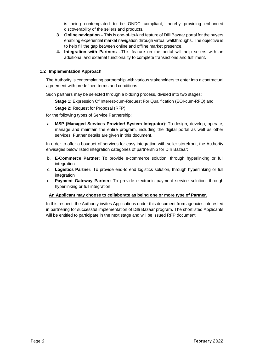is being contemplated to be ONDC compliant, thereby providing enhanced discoverability of the sellers and products.

- **3. Online navigation –** This is one-of-its-kind feature of Dilli Bazaar portal for the buyers enabling experiential market navigation through virtual walkthroughs. The objective is to help fill the gap between online and offline market presence.
- **4. Integration with Partners –**This feature on the portal will help sellers with an additional and external functionality to complete transactions and fulfilment.

## <span id="page-6-0"></span>**1.2 Implementation Approach**

The Authority is contemplating partnership with various stakeholders to enter into a contractual agreement with predefined terms and conditions.

Such partners may be selected through a bidding process, divided into two stages:

**Stage 1:** Expression Of Interest-cum-Request For Qualification (EOI-cum-RFQ) and

**Stage 2:** Request for Proposal (RFP)

for the following types of Service Partnership:

a. **MSP (Managed Services Provider/ System Integrator)**: To design, develop, operate, manage and maintain the entire program, including the digital portal as well as other services. Further details are given in this document.

In order to offer a bouquet of services for easy integration with seller storefront, the Authority envisages below listed integration categories of partnership for Dilli Bazaar:

- b. **E-Commerce Partner:** To provide e-commerce solution, through hyperlinking or full integration
- c. **Logistics Partner:** To provide end-to end logistics solution, through hyperlinking or full integration
- d. **Payment Gateway Partner:** To provide electronic payment service solution, through hyperlinking or full integration

#### **An Applicant may choose to collaborate as being one or more type of Partner.**

In this respect, the Authority invites Applications under this document from agencies interested in partnering for successful implementation of Dilli Bazaar program. The shortlisted Applicants will be entitled to participate in the next stage and will be issued RFP document.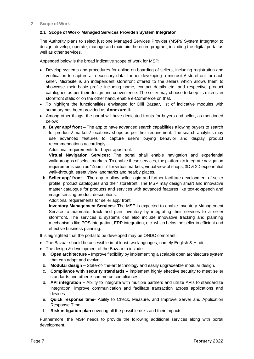## <span id="page-7-1"></span><span id="page-7-0"></span>**2.1 Scope of Work- Managed Services Provider/ System Integrator**

The Authority plans to select just one Managed Services Provider (MSP)/ System Integrator to design, develop, operate, manage and maintain the entire program, including the digital portal as well as other services.

Appended below is the broad indicative scope of work for MSP:

- Develop systems and procedures for online on-boarding of sellers, including registration and verification to capture all necessary data, further developing a microsite/ storefront for each seller. Microsite is an independent storefront offered to the sellers which allows them to showcase their basic profile including name, contact details etc. and respective product catalogues as per their design and convenience. The seller may choose to keep its microsite/ storefront static or on the other hand, enable e-Commerce on that.
- To highlight the functionalities envisaged for Dilli Bazaar, list of indicative modules with summary has been provided as **Annexure II.**
- Among other things, the portal will have dedicated fronts for buyers and seller, as mentioned below:
	- a. **Buyer app/ front**  The app to have advanced search capabilities allowing buyers to search for products/ markets/ locations/ shops as per their requirement. The search analytics may use advanced features to capture user's buying behavior and display product recommendations accordingly.

Additional requirements for buyer app/ front:

**Virtual Navigation Services:** The portal shall enable navigation and experiential walkthroughs of select markets. To enable these services, the platform to integrate navigation requirements such as "Zoom in" for virtual markets, virtual view of shops, 3D & 2D experiential walk-through, street view/ landmarks and nearby places.

**b. Seller app/ front** – The app to allow seller login and further facilitate development of seller profile, product catalogues and their storefront. The MSP may design smart and innovative master catalogue for products and services with advanced features like text-to-speech and image sensing product descriptions.

Additional requirements for seller app/ front:

**Inventory Management Services**: The MSP is expected to enable Inventory Management Service to automate, track and plan inventory by integrating their services to a seller storefront. The services & systems can also include innovative tracking and planning mechanisms like POS integration, ERP integration, etc. which helps the seller in efficient and effective business planning.

It is highlighted that the portal to be developed may be ONDC compliant.

- The Bazaar should be accessible in at least two languages, namely English & Hindi.
- The design & development of the Bazaar to include:
- a. **Open architecture –** Improve flexibility by implementing a scalable open architecture system that can adapt and evolve.
- b. **Modular design –** State-of- the-art technology and easily upgradeable modular design.
- c. **Compliance with security standards –** implement highly effective security to meet seller standards and other e-commerce compliances
- d. **API integration –** Ability to integrate with multiple partners and utilize APIs to standardize integration, improve communication and facilitate transaction across applications and devices.
- e. **Quick response time-** Ability to Check, Measure, and Improve Server and Application Response Time.
- f. **Risk mitigation plan** covering all the possible risks and their impacts.

Furthermore, the MSP needs to provide the following additional services along with portal development.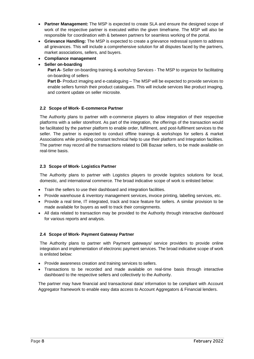- **Partner Management:** The MSP is expected to create SLA and ensure the designed scope of work of the respective partner is executed within the given timeframe. The MSP will also be responsible for coordination with & between partners for seamless working of the portal.
- **Grievance Handling:** The MSP is expected to create a grievance redressal system to address all grievances. This will include a comprehensive solution for all disputes faced by the partners, market associations, sellers, and buyers.
- **Compliance management**
- **Seller on-boarding**

**Part A-** Seller on-boarding training & workshop Services - The MSP to organize for facilitating on-boarding of sellers

**Part B-** Product imaging and e-cataloguing – The MSP will be expected to provide services to enable sellers furnish their product catalogues. This will include services like product imaging, and content update on seller microsite.

## <span id="page-8-0"></span>**2.2 Scope of Work- E-commerce Partner**

The Authority plans to partner with e-commerce players to allow integration of their respective platforms with a seller storefront. As part of the integration, the offerings of the transaction would be facilitated by the partner platform to enable order, fulfilment, and post-fulfilment services to the seller. The partner is expected to conduct offline trainings & workshops for sellers & market Associations while providing constant technical help to use their platform and Integration facilities. The partner may record all the transactions related to Dilli Bazaar sellers, to be made available on real-time basis.

#### <span id="page-8-1"></span>**2.3 Scope of Work- Logistics Partner**

The Authority plans to partner with Logistics players to provide logistics solutions for local, domestic, and international commerce. The broad indicative scope of work is enlisted below:

- Train the sellers to use their dashboard and integration facilities.
- Provide warehouse & inventory management services, invoice printing, labelling services, etc.
- Provide a real time, IT integrated, track and trace feature for sellers. A similar provision to be made available for buyers as well to track their consignments.
- All data related to transaction may be provided to the Authority through interactive dashboard for various reports and analysis.

#### <span id="page-8-2"></span>**2.4 Scope of Work- Payment Gateway Partner**

The Authority plans to partner with Payment gateways/ service providers to provide online integration and implementation of electronic payment services. The broad indicative scope of work is enlisted below:

- Provide awareness creation and training services to sellers.
- Transactions to be recorded and made available on real-time basis through interactive dashboard to the respective sellers and collectively to the Authority.

The partner may have financial and transactional data/ information to be compliant with Account Aggregator framework to enable easy data access to Account Aggregators & Financial lenders.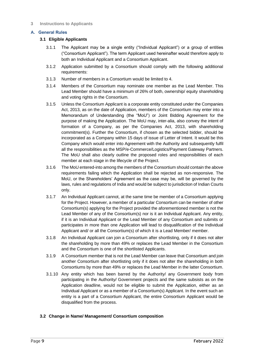#### <span id="page-9-0"></span>**3 Instructions to Applicants**

#### <span id="page-9-2"></span><span id="page-9-1"></span>**A. General Rules**

#### **3.1 Eligible Applicants**

- 3.1.1 The Applicant may be a single entity ("Individual Applicant") or a group of entities ("Consortium Applicant"). The term Applicant used hereinafter would therefore apply to both an Individual Applicant and a Consortium Applicant.
- 3.1.2 Application submitted by a Consortium should comply with the following additional requirements:
- 3.1.3 Number of members in a Consortium would be limited to 4.
- 3.1.4 Members of the Consortium may nominate one member as the Lead Member. This Lead Member should have a minimum of 26% of both, ownership/ equity shareholding and voting rights in the Consortium.
- 3.1.5 Unless the Consortium Applicant is a corporate entity constituted under the Companies Act, 2013, as on the date of Application, members of the Consortium may enter into a Memorandum of Understanding (the "MoU") or Joint Bidding Agreement for the purpose of making the Application. The MoU may, inter-alia, also convey the intent of formation of a Company, as per the Companies Act, 2013, with shareholding commitment(s). Further the Consortium, if chosen as the selected bidder, should be incorporated as a Company within 15 days of issue of Letter of Intent. It would be this Company which would enter into Agreement with the Authority and subsequently fulfil all the responsibilities as the MSP/e-Commerce/Logistics/Payment Gateway Partners. The MoU shall also clearly outline the proposed roles and responsibilities of each member at each stage in the lifecycle of the Project.
- 3.1.6 The MoU entered-into among the members of the Consortium should contain the above requirements failing which the Application shall be rejected as non-responsive. The MoU, or the Shareholders' Agreement as the case may be, will be governed by the laws, rules and regulations of India and would be subject to jurisdiction of Indian Courts only.
- 3.1.7 An Individual Applicant cannot, at the same time be member of a Consortium applying for the Project. However, a member of a particular Consortium can be member of other Consortium(s) applying for the Project provided the aforementioned member is not the Lead Member of any of the Consortium(s) nor is it an Individual Applicant. Any entity, if it is an Individual Applicant or the Lead Member of any Consortium and submits or participates in more than one Application will lead to disqualification of the Individual Applicant and/ or all the Consortium(s) of which it is a Lead Member/ member.
- 3.1.8 An Individual Applicant can join a Consortium after shortlisting, only if it does not alter the shareholding by more than 49% or replaces the Lead Member in the Consortium and the Consortium is one of the shortlisted Applicants.
- 3.1.9 A Consortium member that is not the Lead Member can leave that Consortium and join another Consortium after shortlisting only if it does not alter the shareholding in both Consortiums by more than 49% or replaces the Lead Member in the latter Consortium.
- 3.1.10 Any entity which has been barred by the Authority/ any Government body from participating in the Authority/ Government projects and the same subsists as on the Application deadline, would not be eligible to submit the Application, either as an Individual Applicant or as a member of a Consortium(s) Applicant. In the event such an entity is a part of a Consortium Applicant, the entire Consortium Applicant would be disqualified from the process.

## <span id="page-9-3"></span>**3.2 Change in Name/ Management/ Consortium composition**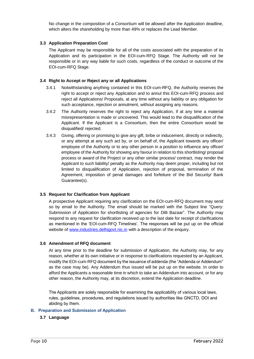No change in the composition of a Consortium will be allowed after the Application deadline, which alters the shareholding by more than 49% or replaces the Lead Member.

#### <span id="page-10-0"></span>**3.3 Application Preparation Cost**

The Applicant may be responsible for all of the costs associated with the preparation of its Application and its participation in the EOI-cum-RFQ Stage. The Authority will not be responsible or in any way liable for such costs, regardless of the conduct or outcome of the EOI-cum-RFQ Stage.

#### <span id="page-10-1"></span>**3.4 Right to Accept or Reject any or all Applications**

- 3.4.1 Notwithstanding anything contained in this EOI-cum-RFQ, the Authority reserves the right to accept or reject any Application and to annul this EOI-cum-RFQ process and reject all Applications/ Proposals, at any time without any liability or any obligation for such acceptance, rejection or annulment, without assigning any reasons.
- 3.4.2 The Authority reserves the right to reject any Application, if at any time a material misrepresentation is made or uncovered. This would lead to the disqualification of the Applicant. If the Applicant is a Consortium, then the entire Consortium would be disqualified/ rejected.
- 3.4.3 Giving, offering or promising to give any gift, bribe or inducement, directly or indirectly, or any attempt at any such act by, or on behalf of, the Applicant towards any officer/ employee of the Authority or to any other person in a position to influence any officer/ employee of the Authority for showing any favour in relation to this shortlisting/ proposal process or award of the Project or any other similar process/ contract, may render the Applicant to such liability/ penalty as the Authority may deem proper, including but not limited to disqualification of Application, rejection of proposal, termination of the Agreement, imposition of penal damages and forfeiture of the Bid Security/ Bank Guarantee(s).

#### <span id="page-10-2"></span>**3.5 Request for Clarification from Applicant**

A prospective Applicant requiring any clarification on the EOI-cum-RFQ document may send so by email to the Authority. The email should be marked with the Subject line "Query: Submission of Application for shortlisting of agencies for Dilli Bazaar". The Authority may respond to any request for clarification received up to the last date for receipt of clarifications as mentioned in the 'EOI-cum-RFQ Timelines'. The responses will be put up on the official website of [www.industries.delhigovt.nic.in](http://www.industries.delhigovt.nic.in/) with a description of the enquiry.

#### <span id="page-10-3"></span>**3.6 Amendment of RFQ document**

At any time prior to the deadline for submission of Application, the Authority may, for any reason, whether at its own initiative or in response to clarifications requested by an Applicant, modify the EOI-cum-RFQ document by the issuance of addenda (the "Addenda or Addendum" as the case may be). Any Addendum thus issued will be put up on the website. In order to afford the Applicants a reasonable time in which to take an Addendum into account, or for any other reason, the Authority may, at its discretion, extend the Application deadline.

The Applicants are solely responsible for examining the applicability of various local laws, rules, guidelines, procedures, and regulations issued by authorities like GNCTD, DOI and abiding by them.

#### <span id="page-10-5"></span><span id="page-10-4"></span>**B. Preparation and Submission of Application**

#### **3.7 Language**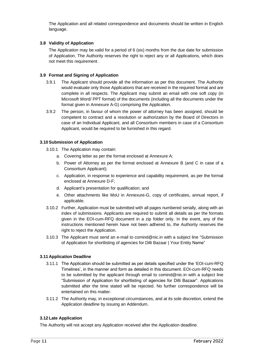The Application and all related correspondence and documents should be written in English language.

## <span id="page-11-0"></span>**3.8 Validity of Application**

The Application may be valid for a period of 6 (six) months from the due date for submission of Application. The Authority reserves the right to reject any or all Applications, which does not meet this requirement.

#### <span id="page-11-1"></span>**3.9 Format and Signing of Application**

- 3.9.1 The Applicant should provide all the information as per this document. The Authority would evaluate only those Applications that are received in the required format and are complete in all respects. The Applicant may submit an email with one soft copy (in Microsoft Word/ PPT format) of the documents (including all the documents under the format given in Annexure A-G) comprising the Application.
- 3.9.2 The person, in favour of whom the power of attorney has been assigned, should be competent to contract and a resolution or authorization by the Board of Directors in case of an Individual Applicant, and all Consortium members in case of a Consortium Applicant, would be required to be furnished in this regard.

#### <span id="page-11-2"></span>**3.10Submission of Application**

- 3.10.1 The Application may contain:
	- a. Covering letter as per the format enclosed at Annexure A;
	- b. Power of Attorney as per the format enclosed at Annexure B (and C in case of a Consortium Applicant);
	- c. Application, in response to experience and capability requirement, as per the format enclosed at Annexure D-F;
	- d. Applicant's presentation for qualification; and
	- e. Other attachments like MoU in Annexure-G, copy of certificates, annual report, if applicable.
- 3.10.2 Further, Application must be submitted with all pages numbered serially, along with an index of submissions. Applicants are required to submit all details as per the formats given in the EOI-cum-RFQ document in a zip folder only. In the event, any of the instructions mentioned herein have not been adhered to, the Authority reserves the right to reject the Application.
- 3.10.3 The Applicant must send an e-mail to comind@nic.in with a subject line "Submission of Application for shortlisting of agencies for Dilli Bazaar | Your Entity Name"

## <span id="page-11-3"></span>**3.11 Application Deadline**

- 3.11.1 The Application should be submitted as per details specified under the 'EOI-cum-RFQ Timelines', in the manner and form as detailed in this document. EOI-cum-RFQ needs to be submitted by the applicant through email to comind@nic.in with a subject line "Submission of Application for shortlisting of agencies for Dilli Bazaar". Applications submitted after the time stated will be rejected. No further correspondence will be entertained on this matter.
- 3.11.2 The Authority may, in exceptional circumstances, and at its sole discretion, extend the Application deadline by issuing an Addendum.

#### <span id="page-11-4"></span>**3.12 Late Application**

The Authority will not accept any Application received after the Application deadline.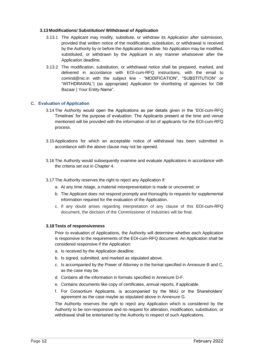#### <span id="page-12-0"></span>**3.13 Modifications/ Substitution/ Withdrawal of Application**

- 3.13.1 The Applicant may modify, substitute, or withdraw its Application after submission, provided that written notice of the modification, substitution, or withdrawal is received by the Authority by or before the Application deadline. No Application may be modified, substituted, or withdrawn by the Applicant in any manner whatsoever after the Application deadline.
- 3.13.2 The modification, substitution, or withdrawal notice shall be prepared, marked, and delivered in accordance with EOI-cum-RFQ instructions, with the email to comind@nic.in with the subject line - "MODIFICATION", "SUBSTITUTION" or "WITHDRAWAL"| (as appropriate) Application for shortlisting of agencies for Dilli Bazaar | Your Entity Name".

#### <span id="page-12-1"></span>**C. Evaluation of Application**

- 3.14 The Authority would open the Applications as per details given in the 'EOI-cum-RFQ Timelines' for the purpose of evaluation. The Applicants present at the time and venue mentioned will be provided with the information of list of applicants for the EOI-cum-RFQ process.
- 3.15Applications for which an acceptable notice of withdrawal has been submitted in accordance with the above clause may not be opened.
- 3.16 The Authority would subsequently examine and evaluate Applications in accordance with the criteria set out in Chapter 4.
- 3.17 The Authority reserves the right to reject any Application if:
	- a. At any time /stage, a material misrepresentation is made or uncovered; or
	- b. The Applicant does not respond promptly and thoroughly to requests for supplemental information required for the evaluation of the Application.
	- c. If any doubt arises regarding interpretation of any clause of this EOI-cum-RFQ document, the decision of the Commissioner of Industries will be final.

#### **3.18 Tests of responsiveness**

Prior to evaluation of Applications, the Authority will determine whether each Application is responsive to the requirements of the EOI-cum-RFQ document. An Application shall be considered responsive if the Application:

- a. Is received by the Application deadline.
- b. Is signed, submitted, and marked as stipulated above.
- c. Is accompanied by the Power of Attorney in the format specified in Annexure B and C, as the case may be.
- d. Contains all the information in formats specified in Annexure D-F.
- e. Contains documents like copy of certificates, annual reports, if applicable.
- f. For Consortium Applicants, is accompanied by the MoU or the Shareholders' agreement as the case maybe as stipulated above in Annexure G.

The Authority reserves the right to reject any Application which is considered by the Authority to be non-responsive and no request for alteration, modification, substitution, or withdrawal shall be entertained by the Authority in respect of such Applications.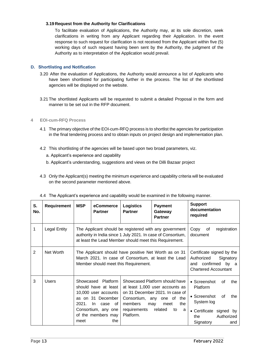## **3.19 Request from the Authority for Clarifications**

To facilitate evaluation of Applications, the Authority may, at its sole discretion, seek clarifications in writing from any Applicant regarding their Application. In the event response to such request for clarification is not received from the Applicant within five (5) working days of such request having been sent by the Authority, the judgment of the Authority as to interpretation of the Application would prevail.

## <span id="page-13-0"></span>**D. Shortlisting and Notification**

- 3.20 After the evaluation of Applications, the Authority would announce a list of Applicants who have been shortlisted for participating further in the process. The list of the shortlisted agencies will be displayed on the website.
- 3.21 The shortlisted Applicants will be requested to submit a detailed Proposal in the form and manner to be set out in the RFP document.

#### <span id="page-13-1"></span>**4 EOI-cum-RFQ Process**

- 4.1 The primary objective of the EOI-cum-RFQ process is to shortlist the agencies for participation in the final tendering process and to obtain inputs on project design and implementation plan.
- 4.2 This shortlisting of the agencies will be based upon two broad parameters, viz.
	- a. Applicant's experience and capability
	- b. Applicant's understanding, suggestions and views on the Dilli Bazaar project
- 4.3 Only the Applicant(s) meeting the minimum experience and capability criteria will be evaluated on the second parameter mentioned above.

| S.<br>No.      | Requirement         | <b>MSP</b>                          | eCommerce<br><b>Partner</b>                                                                                                                             | <b>Logistics</b><br><b>Partner</b>                             | <b>Payment</b><br>Gateway<br><b>Partner</b>                                                                                                                                      | <b>Support</b><br>documentation<br>required                                                                                                                     |
|----------------|---------------------|-------------------------------------|---------------------------------------------------------------------------------------------------------------------------------------------------------|----------------------------------------------------------------|----------------------------------------------------------------------------------------------------------------------------------------------------------------------------------|-----------------------------------------------------------------------------------------------------------------------------------------------------------------|
| 1              | <b>Legal Entity</b> |                                     |                                                                                                                                                         |                                                                | The Applicant should be registered with any government<br>authority in India since 1 July 2021. In case of Consortium,<br>at least the Lead Member should meet this Requirement. | Copy<br>of<br>registration<br>document                                                                                                                          |
| $\overline{2}$ | Net Worth           |                                     | The Applicant should have positive Net Worth as on 31<br>March 2021. In case of Consortium, at least the Lead<br>Member should meet this Requirement.   |                                                                |                                                                                                                                                                                  | Certificate signed by the<br>Authorized<br>Signatory<br>and confirmed<br>by a<br><b>Chartered Accountant</b>                                                    |
| 3              | Users               | Showcased<br>as on<br>2021.<br>meet | <b>Platform</b><br>should have at least<br>10,000 user accounts<br>31 December<br>-In<br>case<br>of<br>Consortium, any one<br>of the members may<br>the | Consortium, any one of<br>members<br>requirements<br>Platform. | Showcased Platform should have<br>at least 1,000 user accounts as<br>on 31 December 2021. In case of<br>the<br>the<br>meet<br>may<br>related<br>to<br>a                          | • Screenshot<br>οf<br>the<br>Platform<br>• Screenshot<br>0f<br>the<br>System log<br>Certificate signed by<br>$\bullet$<br>Authorized<br>the<br>Signatory<br>and |

4.4 The Applicant's experience and capability would be examined in the following manner.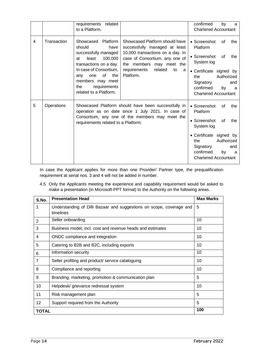|                |             | requirements<br>related<br>to a Platform.                                                                                                                                                                                                            |                                                                                                                                                                                                                      | confirmed<br>by<br>a<br><b>Chartered Accountant</b>                                                                                                                                                         |
|----------------|-------------|------------------------------------------------------------------------------------------------------------------------------------------------------------------------------------------------------------------------------------------------------|----------------------------------------------------------------------------------------------------------------------------------------------------------------------------------------------------------------------|-------------------------------------------------------------------------------------------------------------------------------------------------------------------------------------------------------------|
| $\overline{4}$ | Transaction | Showcased<br><b>Platform</b><br>should<br>have<br>successfully managed<br>100,000<br>least<br>at<br>transactions on a day.<br>In case of Consortium,<br>of<br>the<br>one<br>any<br>members may meet<br>requirements<br>the<br>related to a Platform. | Showcased Platform should have<br>successfully managed at least<br>10,000 transactions on a day. In<br>case of Consortium, any one of<br>the members may meet the<br>requirements<br>related<br>to<br>a<br>Platform. | • Screenshot<br>οf<br>the<br>Platform<br>• Screenshot<br>0f<br>the<br>System log<br>• Certificate signed by<br>Authorized<br>the<br>Signatory<br>and<br>confirmed<br>by<br>a<br><b>Chartered Accountant</b> |
| 5              | Operations  | requirements related to a Platform.                                                                                                                                                                                                                  | Showcased Platform should have been successfully in<br>operation as on date since 1 July 2021. In case of<br>Consortium, any one of the members may meet the                                                         | • Screenshot<br>οf<br>the<br>Platform<br>• Screenshot<br>0f<br>the<br>System log<br>• Certificate signed by<br>Authorized<br>the<br>Signatory<br>and<br>confirmed<br>by<br>a<br><b>Chartered Accountant</b> |

In case the Applicant applies for more than one Provider/ Partner type, the prequalification requirement at serial nos. 3 and 4 will not be added in number.

4.5 Only the Applicants meeting the experience and capability requirement would be asked to make a presentation (in Microsoft-PPT format) to the Authority on the following areas.

| S.No.               | <b>Presentation Head</b>                                                          | <b>Max Marks</b> |  |  |
|---------------------|-----------------------------------------------------------------------------------|------------------|--|--|
| 1                   | Understanding of Dilli Bazaar and suggestions on scope, coverage and<br>timelines | 5                |  |  |
| $\overline{2}$      | Seller onboarding                                                                 | 10               |  |  |
| 3                   | Business model, incl. cost and revenue heads and estimates                        | 10               |  |  |
| 4                   | ONDC compliance and integration                                                   | 10               |  |  |
| 5                   | Catering to B2B and B2C, including exports<br>10                                  |                  |  |  |
| 6                   | Information security<br>10                                                        |                  |  |  |
| $\overline{7}$      | Seller profiling and product/ service cataloguing                                 | 10               |  |  |
| 8                   | Compliance and reporting                                                          | 10               |  |  |
| 9                   | Branding, marketing, promotion & communication plan                               | 5                |  |  |
| 10                  | Helpdesk/ grievance redressal system                                              | 10               |  |  |
| 11                  | Risk management plan                                                              | 5                |  |  |
| 12                  | Support required from the Authority                                               | 5                |  |  |
| 100<br><b>TOTAL</b> |                                                                                   |                  |  |  |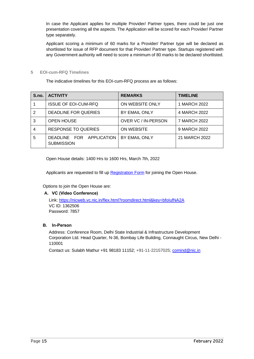In case the Applicant applies for multiple Provider/ Partner types, there could be just one presentation covering all the aspects. The Application will be scored for each Provider/ Partner type separately.

Applicant scoring a minimum of 60 marks for a Provider/ Partner type will be declared as shortlisted for issue of RFP document for that Provider/ Partner type. Startups registered with any Government authority will need to score a minimum of 80 marks to be declared shortlisted.

#### <span id="page-15-1"></span><span id="page-15-0"></span>**5 EOI-cum-RFQ Timelines**

The indicative timelines for this EOI-cum-RFQ process are as follows:

| S.no. | <b>ACTIVITY</b>                               | <b>REMARKS</b>       | <b>TIMELINE</b> |
|-------|-----------------------------------------------|----------------------|-----------------|
|       | <b>ISSUE OF EOI-CUM-RFQ</b>                   | ON WEBSITE ONLY      | 1 MARCH 2022    |
|       | DEADLINE FOR QUERIES                          | <b>BY EMAIL ONLY</b> | 4 MARCH 2022    |
| 3     | <b>OPEN HOUSE</b>                             | OVER VC / IN-PERSON  | 7 MARCH 2022    |
|       | <b>RESPONSE TO QUERIES</b>                    | ON WEBSITE           | 9 MARCH 2022    |
| 5     | DEADLINE FOR APPLICATION<br><b>SUBMISSION</b> | BY EMAIL ONLY        | 21 MARCH 2022   |

Open House details: 1400 Hrs to 1600 Hrs, March 7th, 2022

Applicants are requested to fill u[p Registration Form](https://forms.gle/Uip6vYkAapB4u7PH7) for joining the Open House.

Options to join the Open House are:

#### **A. VC (Video Conference)**

Link: <https://nicweb.vc.nic.in/flex.html?roomdirect.html&key=bfoIufNA2A> VC ID: 1362506 Password: 7857

## **B. In-Person**

Address: Conference Room, Delhi State Industrial & Infrastructure Development Corporation Ltd. Head Quarter, N-36, Bombay Life Building, Connaught Circus, New Delhi - 110001

Contact us: Sulabh Mathur +91 98183 11152; +91-11-22157025; [comind@nic.in](mailto:comind@nic.in)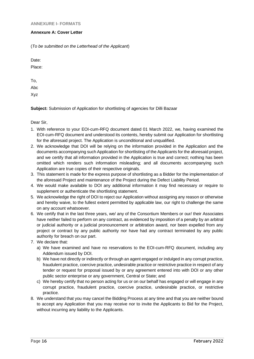#### <span id="page-16-1"></span><span id="page-16-0"></span>**Annexure A: Cover Letter**

(*To be submitted on the Letterhead of the Applicant*)

Date:

Place:

To, Abc Xyz

**Subject:** Submission of Application for shortlisting of agencies for Dilli Bazaar

Dear Sir,

- 1. With reference to your EOI-cum-RFQ document dated 01 March 2022, we, having examined the EOI-cum-RFQ document and understood its contents, hereby submit our Application for shortlisting for the aforesaid project. The Application is unconditional and unqualified.
- 2. We acknowledge that DOI will be relying on the information provided in the Application and the documents accompanying such Application for shortlisting of the Applicants for the aforesaid project, and we certify that all information provided in the Application is true and correct; nothing has been omitted which renders such information misleading; and all documents accompanying such Application are true copies of their respective originals.
- 3. This statement is made for the express purpose of shortlisting as a Bidder for the implementation of the aforesaid Project and maintenance of the Project during the Defect Liability Period.
- 4. We would make available to DOI any additional information it may find necessary or require to supplement or authenticate the shortlisting statement.
- 5. We acknowledge the right of DOI to reject our Application without assigning any reason or otherwise and hereby waive, to the fullest extent permitted by applicable law, our right to challenge the same on any account whatsoever.
- 6. We certify that in the last three years, we/ any of the Consortium Members or our/ their Associates have neither failed to perform on any contract, as evidenced by imposition of a penalty by an arbitral or judicial authority or a judicial pronouncement or arbitration award, nor been expelled from any project or contract by any public authority nor have had any contract terminated by any public authority for breach on our part.
- 7. We declare that:
	- a) We have examined and have no reservations to the EOI-cum-RFQ document, including any Addendum issued by DOI.
	- b) We have not directly or indirectly or through an agent engaged or indulged in any corrupt practice, fraudulent practice, coercive practice, undesirable practice or restrictive practice in respect of any tender or request for proposal issued by or any agreement entered into with DOI or any other public sector enterprise or any government, Central or State; and
	- c) We hereby certify that no person acting for us or on our behalf has engaged or will engage in any corrupt practice, fraudulent practice, coercive practice, undesirable practice, or restrictive practice.
- 8. We understand that you may cancel the Bidding Process at any time and that you are neither bound to accept any Application that you may receive nor to invite the Applicants to Bid for the Project, without incurring any liability to the Applicants.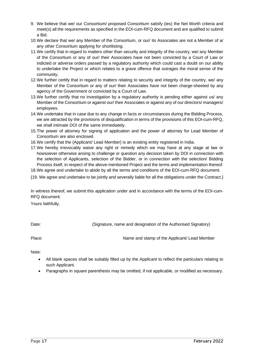- 9. We believe that we/ our Consortium/ proposed Consortium satisfy (ies) the Net Worth criteria and meet(s) all the requirements as specified in the EOI-cum-RFQ document and are qualified to submit a Bid.
- 10.We declare that we/ any Member of the Consortium, or our/ its Associates are not a Member of a/ any other Consortium applying for shortlisting.
- 11.We certify that in regard to matters other than security and integrity of the country, we/ any Member of the Consortium or any of our/ their Associates have not been convicted by a Court of Law or indicted or adverse orders passed by a regulatory authority which could cast a doubt on our ability to undertake the Project or which relates to a grave offence that outrages the moral sense of the community.
- 12.We further certify that in regard to matters relating to security and integrity of the country, we/ any Member of the Consortium or any of our/ their Associates have not been charge-sheeted by any agency of the Government or convicted by a Court of Law.
- 13.We further certify that no investigation by a regulatory authority is pending either against us/ any Member of the Consortium or against our/ their Associates or against any of our directors/ managers/ employees.
- 14.We undertake that in case due to any change in facts or circumstances during the Bidding Process, we are attracted by the provisions of disqualification in terms of the provisions of this EOI-cum-RFQ, we shall intimate DOI of the same immediately.
- 15.The power of attorney for signing of application and the power of attorney for Lead Member of Consortium are also enclosed.
- 16.We certify that the {Applicant/ Lead Member} is an existing entity registered in India.
- 17.We hereby irrevocably waive any right or remedy which we may have at any stage at law or howsoever otherwise arising to challenge or question any decision taken by DOI in connection with the selection of Applicants, selection of the Bidder, or in connection with the selection/ Bidding Process itself, in respect of the above-mentioned Project and the terms and implementation thereof.
- 18.We agree and undertake to abide by all the terms and conditions of the EOI-cum-RFQ document.

{19. We agree and undertake to be jointly and severally liable for all the obligations under the Contract.}

In witness thereof, we submit this application under and in accordance with the terms of the EOI-cum-RFQ document.

Yours faithfully,

Date: Cignature, name and designation of the Authorised Signatory)

Place: Name and stamp of the Applicant/ Lead Member

Note:

- All blank spaces shall be suitably filled up by the Applicant to reflect the particulars relating to such Applicant.
- Paragraphs in square parenthesis may be omitted, if not applicable, or modified as necessary.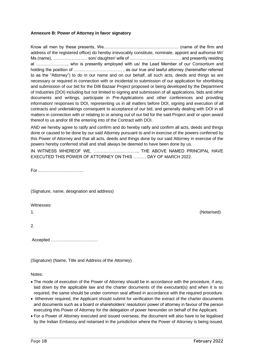#### <span id="page-18-0"></span>**Annexure B: Power of Attorney in favor signatory**

Know all men by these presents, We…………………………………………….. (name of the firm and address of the registered office) do hereby irrevocably constitute, nominate, appoint and authorise Mr/ Ms (name), …………………… son/ daughter/ wife of ……………………………… and presently residing at …………………., who is presently employed with us/ the Lead Member of our Consortium and holding the position of ……………………………. , as our true and lawful attorney (hereinafter referred to as the "Attorney") to do in our name and on our behalf, all such acts, deeds and things as are necessary or required in connection with or incidental to submission of our application for shortlisting and submission of our bid for the Dilli Bazaar Project proposed or being developed by the Department of Industries (DOI) including but not limited to signing and submission of all applications, bids and other documents and writings, participate in Pre-Applications and other conferences and providing information/ responses to DOI, representing us in all matters before DOI, signing and execution of all contracts and undertakings consequent to acceptance of our bid, and generally dealing with DOI in all matters in connection with or relating to or arising out of our bid for the said Project and/ or upon award thereof to us and/or till the entering into of the Contract with DOI.

AND we hereby agree to ratify and confirm and do hereby ratify and confirm all acts, deeds and things done or caused to be done by our said Attorney pursuant to and in exercise of the powers conferred by this Power of Attorney and that all acts, deeds and things done by our said Attorney in exercise of the powers hereby conferred shall and shall always be deemed to have been done by us.

IN WITNESS WHEREOF WE, …………………………., THE ABOVE NAMED PRINCIPAL HAVE EXECUTED THIS POWER OF ATTORNEY ON THIS ……… DAY OF MARCH 2022.

For …………………………..

(Signature, name, designation and address)

#### Witnesses:

1. (Notarised)

2.

Accepted ……………………………

(Signature) (Name, Title and Address of the Attorney)

Notes:

- The mode of execution of the Power of Attorney should be in accordance with the procedure, if any, laid down by the applicable law and the charter documents of the executant(s) and when it is so required, the same should be under common seal affixed in accordance with the required procedure.
- Wherever required, the Applicant should submit for verification the extract of the charter documents and documents such as a board or shareholders' resolution/ power of attorney in favour of the person executing this Power of Attorney for the delegation of power hereunder on behalf of the Applicant.
- For a Power of Attorney executed and issued overseas, the document will also have to be legalised by the Indian Embassy and notarised in the jurisdiction where the Power of Attorney is being issued.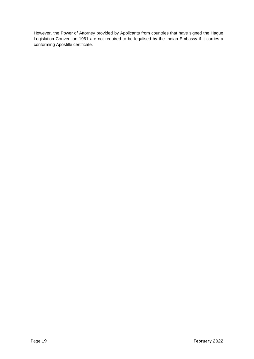However, the Power of Attorney provided by Applicants from countries that have signed the Hague Legislation Convention 1961 are not required to be legalised by the Indian Embassy if it carries a conforming Apostille certificate.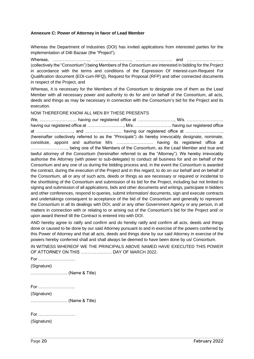#### <span id="page-20-0"></span>**Annexure C: Power of Attorney in favor of Lead Member**

Whereas the Department of Industries (DOI) has invited applications from interested parties for the implementation of Dilli Bazaar (the "Project").

Whereas, …………………………, ………………………, …………………………… and ……………………… (collectively the "Consortium") being Members of the Consortium are interested in bidding for the Project in accordance with the terms and conditions of the Expression Of Interest-cum-Request For Qualification document (EOI-cum-RFQ), Request for Proposal (RFP) and other connected documents in respect of the Project, and

Whereas, it is necessary for the Members of the Consortium to designate one of them as the Lead Member with all necessary power and authority to do for and on behalf of the Consortium, all acts, deeds and things as may be necessary in connection with the Consortium's bid for the Project and its execution.

NOW THEREFORE KNOW ALL MEN BY THESE PRESENTS

We, …………………….. having our registered office at …………………….., M/s. …………………….. having our registered office at ……………………………. M/s. ……………………………… having our registered office at …………………….., and …………………….. having our registered office at …………………….., (hereinafter collectively referred to as the "Principals") do hereby irrevocably designate, nominate, constitute, appoint and authorise M/s …………………….. having its registered office at …………………….., being one of the Members of the Consortium, as the Lead Member and true and lawful attorney of the Consortium (hereinafter referred to as the "Attorney"). We hereby irrevocably authorise the Attorney (with power to sub-delegate) to conduct all business for and on behalf of the Consortium and any one of us during the bidding process and, in the event the Consortium is awarded the contract, during the execution of the Project and in this regard, to do on our behalf and on behalf of the Consortium, all or any of such acts, deeds or things as are necessary or required or incidental to the shortlisting of the Consortium and submission of its bid for the Project, including but not limited to signing and submission of all applications, bids and other documents and writings, participate in bidders and other conferences, respond to queries, submit information/ documents, sign and execute contracts and undertakings consequent to acceptance of the bid of the Consortium and generally to represent the Consortium in all its dealings with DOI, and/ or any other Government Agency or any person, in all matters in connection with or relating to or arising out of the Consortium's bid for the Project and/ or upon award thereof till the Contract is entered into with DOI.

AND hereby agree to ratify and confirm and do hereby ratify and confirm all acts, deeds and things done or caused to be done by our said Attorney pursuant to and in exercise of the powers conferred by this Power of Attorney and that all acts, deeds and things done by our said Attorney in exercise of the powers hereby conferred shall and shall always be deemed to have been done by us/ Consortium.

IN WITNESS WHEREOF WE THE PRINCIPALS ABOVE NAMED HAVE EXECUTED THIS POWER OF ATTORNEY ON THIS …………………. DAY OF MARCH 2022.

For ……………………..

(Signature)

…………………….. (Name & Title)

For ……………………..

(Signature)

…………………….. (Name & Title)

For ……………………..

(Signature)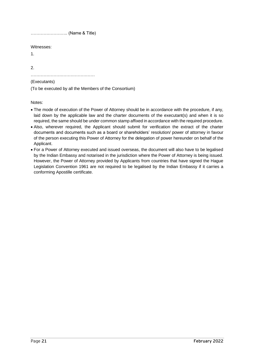…………………….. (Name & Title)

Witnesses:

1.

2.

………………………………………

#### (Executants)

(To be executed by all the Members of the Consortium)

Notes:

- The mode of execution of the Power of Attorney should be in accordance with the procedure, if any, laid down by the applicable law and the charter documents of the executant(s) and when it is so required, the same should be under common stamp affixed in accordance with the required procedure.
- Also, wherever required, the Applicant should submit for verification the extract of the charter documents and documents such as a board or shareholders' resolution/ power of attorney in favour of the person executing this Power of Attorney for the delegation of power hereunder on behalf of the Applicant.
- For a Power of Attorney executed and issued overseas, the document will also have to be legalised by the Indian Embassy and notarised in the jurisdiction where the Power of Attorney is being issued. However, the Power of Attorney provided by Applicants from countries that have signed the Hague Legislation Convention 1961 are not required to be legalised by the Indian Embassy if it carries a conforming Apostille certificate.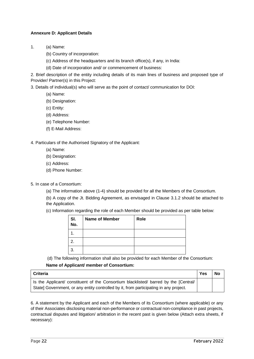## <span id="page-22-0"></span>**Annexure D: Applicant Details**

- 1. (a) Name:
	- (b) Country of incorporation:
	- (c) Address of the headquarters and its branch office(s), if any, in India:
	- (d) Date of incorporation and/ or commencement of business:

2. Brief description of the entity including details of its main lines of business and proposed type of Provider/ Partner(s) in this Project:

3. Details of individual(s) who will serve as the point of contact/ communication for DOI:

- (a) Name:
- (b) Designation:
- (c) Entity:
- (d) Address:
- (e) Telephone Number:
- (f) E-Mail Address:

#### 4. Particulars of the Authorised Signatory of the Applicant:

- (a) Name:
- (b) Designation:
- (c) Address:
- (d) Phone Number:
- 5. In case of a Consortium:
	- (a) The information above (1-4) should be provided for all the Members of the Consortium.

(b) A copy of the Jt. Bidding Agreement, as envisaged in Clause 3.1.2 should be attached to the Application.

(c) Information regarding the role of each Member should be provided as per table below:

| SI.<br>No. | <b>Name of Member</b> | Role |
|------------|-----------------------|------|
|            |                       |      |
| 2.         |                       |      |
| 3.         |                       |      |

(d) The following information shall also be provided for each Member of the Consortium: **Name of Applicant/ member of Consortium:**

| <b>Criteria</b>                                                                                                                                                               | <b>Yes</b> | <b>No</b> |
|-------------------------------------------------------------------------------------------------------------------------------------------------------------------------------|------------|-----------|
| Is the Applicant/ constituent of the Consortium blacklisted/ barred by the [Central/<br>State] Government, or any entity controlled by it, from participating in any project. |            |           |

6. A statement by the Applicant and each of the Members of its Consortium (where applicable) or any of their Associates disclosing material non-performance or contractual non-compliance in past projects, contractual disputes and litigation/ arbitration in the recent past is given below (Attach extra sheets, if necessary):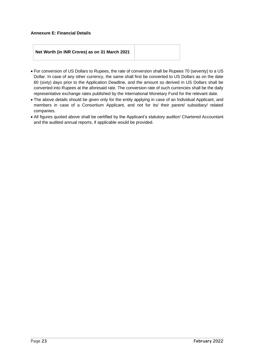#### <span id="page-23-0"></span>**Annexure E: Financial Details**

## **Net Worth (in INR Crores) as on 31 March 2021**

- For conversion of US Dollars to Rupees, the rate of conversion shall be Rupees 70 (seventy) to a US Dollar. In case of any other currency, the same shall first be converted to US Dollars as on the date 60 (sixty) days prior to the Application Deadline, and the amount so derived in US Dollars shall be converted into Rupees at the aforesaid rate. The conversion rate of such currencies shall be the daily representative exchange rates published by the International Monetary Fund for the relevant date.
- The above details should be given only for the entity applying in case of an Individual Applicant, and members in case of a Consortium Applicant, and not for its/ their parent/ subsidiary/ related companies.
- All figures quoted above shall be certified by the Applicant's statutory auditor/ Chartered Accountant and the audited annual reports, if applicable would be provided.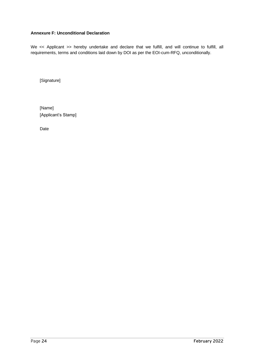## <span id="page-24-0"></span>**Annexure F: Unconditional Declaration**

We << Applicant >> hereby undertake and declare that we fulfill, and will continue to fulfill, all requirements, terms and conditions laid down by DOI as per the EOI-cum-RFQ, unconditionally.

[Signature]

[Name] [Applicant's Stamp]

Date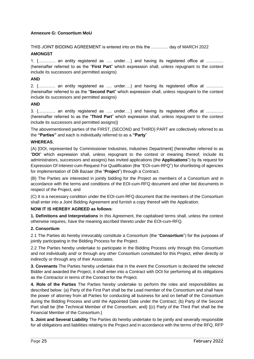## <span id="page-25-0"></span>**Annexure G: Consortium MoU**

THIS JOINT BIDDING AGREEMENT is entered into on this the ………… day of MARCH 2022

## **AMONGST**

1. {………… an entity registered as …. under….} and having its registered office at ………… (hereinafter referred to as the "**First Part**" which expression shall, unless repugnant to the context include its successors and permitted assigns)

## **AND**

2. {………… an entity registered as …. under….} and having its registered office at ………… (hereinafter referred to as the "**Second Part**" which expression shall, unless repugnant to the context include its successors and permitted assigns)

## **AND**

3. {………… an entity registered as …. under….} and having its registered office at ………… (hereinafter referred to as the "**Third Part**" which expression shall, unless repugnant to the context include its successors and permitted assigns)}

The abovementioned parties of the FIRST, {SECOND and THIRD} PART are collectively referred to as the **"Parties"** and each is individually referred to as a **"Party**"

#### **WHEREAS**,

(A) [DOI, represented by Commissioner Industries, Industries Department] (hereinafter referred to as "**DOI**" which expression shall, unless repugnant to the context or meaning thereof, include its administrators, successors and assigns) has invited applications (the **Applications**") by its request for Expression Of Interest-cum-Request For Qualification (the "EOI-cum-RFQ") for shortlisting of agencies for implementation of Dilli Bazaar (the "**Project**") through a Contract.

(B) The Parties are interested in jointly bidding for the Project as members of a Consortium and in accordance with the terms and conditions of the EOI-cum-RFQ document and other bid documents in respect of the Project, and

(C) It is a necessary condition under the EOI-cum-RFQ document that the members of the Consortium shall enter into a Joint Bidding Agreement and furnish a copy thereof with the Application.

## **NOW IT IS HEREBY AGREED as follows**:

**1. Definitions and Interpretations** In this Agreement, the capitalised terms shall, unless the context otherwise requires, have the meaning ascribed thereto under the EOI-cum-RFQ.

#### **2. Consortium**

2.1 The Parties do hereby irrevocably constitute a Consortium (the "**Consortium**") for the purposes of jointly participating in the Bidding Process for the Project.

2.2 The Parties hereby undertake to participate in the Bidding Process only through this Consortium and not individually and/ or through any other Consortium constituted for this Project, either directly or indirectly or through any of their Associates.

**3. Covenants** The Parties hereby undertake that in the event the Consortium is declared the selected Bidder and awarded the Project, it shall enter into a Contract with DOI for performing all its obligations as the Contractor in terms of the Contract for the Project.

**4. Role of the Parties** The Parties hereby undertake to perform the roles and responsibilities as described below: (a) Party of the First Part shall be the Lead member of the Consortium and shall have the power of attorney from all Parties for conducting all business for and on behalf of the Consortium during the Bidding Process and until the Appointed Date under the Contract; (b) Party of the Second Part shall be {the Technical Member of the Consortium; and} {(c) Party of the Third Part shall be the Financial Member of the Consortium.}

**5. Joint and Several Liability** The Parties do hereby undertake to be jointly and severally responsible for all obligations and liabilities relating to the Project and in accordance with the terms of the RFQ, RFP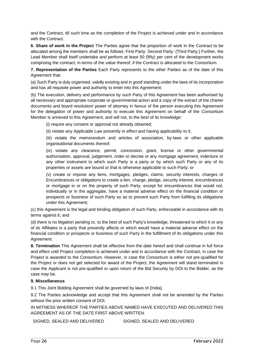and the Contract, till such time as the completion of the Project is achieved under and in accordance with the Contract.

**6**. **Share of work in the Project** The Parties agree that the proportion of work in the Contract to be allocated among the members shall be as follows: First Party: Second Party: {Third Party:} Further, the Lead Member shall itself undertake and perform at least 50 (fifty) per cent of the development works comprising the contract, in terms of the value thereof, if the Contract is allocated to the Consortium.

**7. Representation of the Parties** Each Party represents to the other Parties as of the date of this Agreement that:

(a) Such Party is duly organised, validly existing and in good standing under the laws of its incorporation and has all requisite power and authority to enter into this Agreement;

(b) The execution, delivery and performance by such Party of this Agreement has been authorised by all necessary and appropriate corporate or governmental action and a copy of the extract of the charter documents and board resolution/ power of attorney in favour of the person executing this Agreement for the delegation of power and authority to execute this Agreement on behalf of the Consortium Member is annexed to this Agreement, and will not, to the best of its knowledge:

(i) require any consent or approval not already obtained;

(ii) violate any Applicable Law presently in effect and having applicability to it;

(iii) violate the memorandum and articles of association, by-laws or other applicable organisational documents thereof;

(iv) violate any clearance, permit, concession, grant, license or other governmental authorisation, approval, judgement, order or decree or any mortgage agreement, indenture or any other instrument to which such Party is a party or by which such Party or any of its properties or assets are bound or that is otherwise applicable to such Party; or

(v) create or impose any liens, mortgages, pledges, claims, security interests, charges or Encumbrances or obligations to create a lien, charge, pledge, security interest, encumbrances or mortgage in or on the property of such Party, except for encumbrances that would not, individually or in the aggregate, have a material adverse effect on the financial condition or prospects or business of such Party so as to prevent such Party from fulfilling its obligations under this Agreement;

(c) this Agreement is the legal and binding obligation of such Party, enforceable in accordance with its terms against it; and

(d) there is no litigation pending or, to the best of such Party's knowledge, threatened to which it or any of its Affiliates is a party that presently affects or which would have a material adverse effect on the financial condition or prospects or business of such Party in the fulfillment of its obligations under this Agreement.

**8. Termination** This Agreement shall be effective from the date hereof and shall continue in full force and effect until Project completion is achieved under and in accordance with the Contract, in case the Project is awarded to the Consortium. However, in case the Consortium is either not pre-qualified for the Project or does not get selected for award of the Project, the Agreement will stand terminated in case the Applicant is not pre-qualified or upon return of the Bid Security by DOI to the Bidder, as the case may be.

#### **9. Miscellaneous**

9.1 This Joint Bidding Agreement shall be governed by laws of {India}.

9.2 The Parties acknowledge and accept that this Agreement shall not be amended by the Parties without the prior written consent of DOI.

IN WITNESS WHEREOF THE PARTIES ABOVE NAMED HAVE EXECUTED AND DELIVERED THIS AGREEMENT AS OF THE DATE FIRST ABOVE WRITTEN.

SIGNED, SEALED AND DELIVERED SIGNED, SEALED AND DELIVERED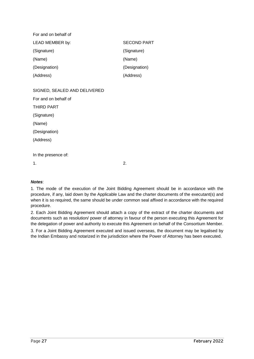| For and on behalf of |                    |
|----------------------|--------------------|
| LEAD MEMBER by:      | <b>SECOND PART</b> |
| (Signature)          | (Signature)        |
| (Name)               | (Name)             |
| (Designation)        | (Designation)      |
| (Address)            | (Address)          |

SIGNED, SEALED AND DELIVERED

For and on behalf of

THIRD PART

(Signature)

(Name)

(Designation)

(Address)

In the presence of:

 $1.$  2.

## *Notes*:

1. The mode of the execution of the Joint Bidding Agreement should be in accordance with the procedure, if any, laid down by the Applicable Law and the charter documents of the executant(s) and when it is so required, the same should be under common seal affixed in accordance with the required procedure.

2. Each Joint Bidding Agreement should attach a copy of the extract of the charter documents and documents such as resolution/ power of attorney in favour of the person executing this Agreement for the delegation of power and authority to execute this Agreement on behalf of the Consortium Member.

3. For a Joint Bidding Agreement executed and issued overseas, the document may be legalised by the Indian Embassy and notarized in the jurisdiction where the Power of Attorney has been executed.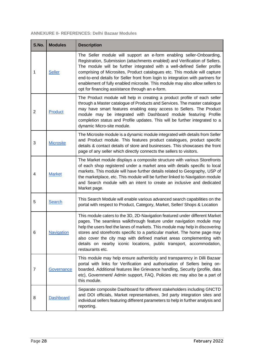## <span id="page-28-0"></span>**ANNEXURE II- REFERENCES: Delhi Bazaar Modules**

| S.No.          | <b>Modules</b>    | <b>Description</b>                                                                                                                                                                                                                                                                                                                                                                                                                                                                                                                  |
|----------------|-------------------|-------------------------------------------------------------------------------------------------------------------------------------------------------------------------------------------------------------------------------------------------------------------------------------------------------------------------------------------------------------------------------------------------------------------------------------------------------------------------------------------------------------------------------------|
| 1              | <b>Seller</b>     | The Seller module will support an e-form enabling seller-Onboarding,<br>Registration, Submission (attachments enabled) and Verification of Sellers.<br>The module will be further integrated with a well-defined Seller profile<br>comprising of Microsites, Product catalogues etc. This module will capture<br>end-to-end details for Seller front from login to integration with partners for<br>enablement of fully enabled microsite. This module may also allow sellers to<br>opt for financing assistance through an e-form. |
| $\overline{2}$ | Product           | The Product module will help in creating a product profile of each seller<br>through a Master catalogue of Products and Services. The master catalogue<br>may have smart features enabling easy access to Sellers. The Product<br>module may be integrated with Dashboard module featuring Profile<br>completion status and Profile updates. This will be further integrated to a<br>dynamic Micro-site module.                                                                                                                     |
| 3              | <b>Microsite</b>  | The Microsite module is a dynamic module integrated with details from Seller<br>and Product module. This features product catalogues, product specific<br>details & contact details of store and businesses. This showcases the front<br>page of any seller which directly connects the sellers to visitors.                                                                                                                                                                                                                        |
| 4              | <b>Market</b>     | The Market module displays a composite structure with various Storefronts<br>of each shop registered under a market area with details specific to local<br>markets. This module will have further details related to Geography, USP of<br>the marketplace, etc. This module will be further linked to Navigation module<br>and Search module with an intent to create an inclusive and dedicated<br>Market page.                                                                                                                    |
| 5              | <b>Search</b>     | This Search Module will enable various advanced search capabilities on the<br>portal with respect to Product, Category, Market, Seller/ Shops & Location                                                                                                                                                                                                                                                                                                                                                                            |
| 6              | <b>Navigation</b> | This module caters to the 3D, 2D-Navigation featured under different Market<br>pages. The seamless walkthrough feature under navigation module may<br>help the users feel the lanes of markets. This module may help in discovering<br>stores and storefronts specific to a particular market. The home page may<br>also cover the city map with defined market areas complementing with<br>details on nearby iconic locations, public transport, accommodation,<br>restaurants etc.                                                |
| 7              | Governance        | This module may help ensure authenticity and transparency in Dilli Bazaar<br>portal with links for Verification and authorisation of Sellers being on-<br>boarded. Additional features like Grievance handling, Security (profile, data<br>etc), Government/ Admin support, FAQ, Policies etc may also be a part of<br>this module.                                                                                                                                                                                                 |
| 8              | <b>Dashboard</b>  | Separate composite Dashboard for different stakeholders including GNCTD<br>and DOI officials, Market representatives, 3rd party integration sites and<br>individual sellers featuring different parameters to help in further analysis and<br>reporting.                                                                                                                                                                                                                                                                            |